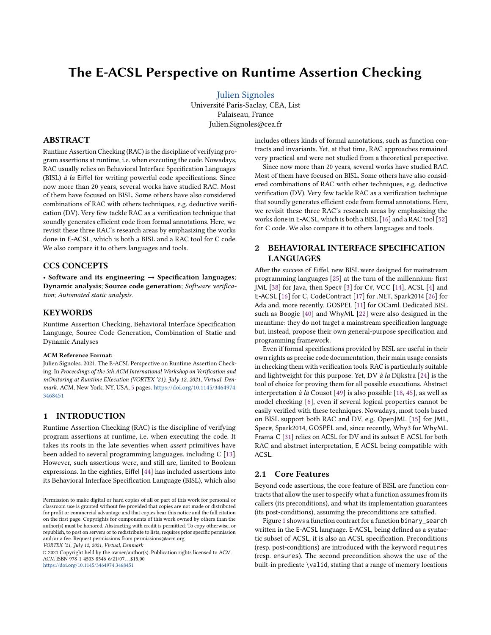# The E-ACSL Perspective on Runtime Assertion Checking

[Julien Signoles](https://orcid.org/0000-0001-9266-0820) Université Paris-Saclay, CEA, List Palaiseau, France Julien.Signoles@cea.fr

# ABSTRACT

Runtime Assertion Checking (RAC) is the discipline of verifying program assertions at runtime, i.e. when executing the code. Nowadays, RAC usually relies on Behavioral Interface Specification Languages (BISL) à la Eiffel for writing powerful code specifications. Since now more than 20 years, several works have studied RAC. Most of them have focused on BISL. Some others have also considered combinations of RAC with others techniques, e.g. deductive verification (DV). Very few tackle RAC as a verification technique that soundly generates efficient code from formal annotations. Here, we revisit these three RAC's research areas by emphasizing the works done in E-ACSL, which is both a BISL and a RAC tool for C code. We also compare it to others languages and tools.

# CCS CONCEPTS

• Software and its engineering  $\rightarrow$  Specification languages; Dynamic analysis; Source code generation; Software verification; Automated static analysis.

# **KEYWORDS**

Runtime Assertion Checking, Behavioral Interface Specification Language, Source Code Generation, Combination of Static and Dynamic Analyses

#### ACM Reference Format:

Julien Signoles. 2021. The E-ACSL Perspective on Runtime Assertion Checking. In Proceedings of the 5th ACM International Workshop on Verification and mOnitoring at Runtime EXecution (VORTEX '21), July 12, 2021, Virtual, Denmark. ACM, New York, NY, USA, [5](#page-4-0) pages. [https://doi.org/10.1145/3464974.](https://doi.org/10.1145/3464974.3468451) [3468451](https://doi.org/10.1145/3464974.3468451)

# 1 INTRODUCTION

Runtime Assertion Checking (RAC) is the discipline of verifying program assertions at runtime, i.e. when executing the code. It takes its roots in the late seventies when assert primitives have been added to several programming languages, including C [\[13\]](#page-4-1). However, such assertions were, and still are, limited to Boolean expressions. In the eighties, Eiffel [\[44\]](#page-4-2) has included assertions into its Behavioral Interface Specification Language (BISL), which also

VORTEX '21, July 12, 2021, Virtual, Denmark

includes others kinds of formal annotations, such as function contracts and invariants. Yet, at that time, RAC approaches remained very practical and were not studied from a theoretical perspective.

Since now more than 20 years, several works have studied RAC. Most of them have focused on BISL. Some others have also considered combinations of RAC with other techniques, e.g. deductive verification (DV). Very few tackle RAC as a verification technique that soundly generates efficient code from formal annotations. Here, we revisit these three RAC's research areas by emphasizing the works done in E-ACSL, which is both a BISL [\[16\]](#page-4-3) and a RAC tool [\[52\]](#page-4-4) for C code. We also compare it to others languages and tools.

# 2 BEHAVIORAL INTERFACE SPECIFICATION LANGUAGES

After the success of Eiffel, new BISL were designed for mainstream programming languages [\[25\]](#page-4-5) at the turn of the millennium: first JML [\[38\]](#page-4-6) for Java, then Spec# [\[3\]](#page-3-0) for C#, VCC [\[14\]](#page-4-7), ACSL [\[4\]](#page-3-1) and E-ACSL [\[16\]](#page-4-3) for C, CodeContract [\[17\]](#page-4-8) for .NET, Spark2014 [\[26\]](#page-4-9) for Ada and, more recently, GOSPEL [\[11\]](#page-3-2) for OCaml. Dedicated BISL such as Boogie [\[40\]](#page-4-10) and WhyML [\[22\]](#page-4-11) were also designed in the meantime: they do not target a mainstream specification language but, instead, propose their own general-purpose specification and programming framework.

Even if formal specifications provided by BISL are useful in their own rights as precise code documentation, their main usage consists in checking them with verification tools. RAC is particularly suitable and lightweight for this purpose. Yet, DV à la Dijkstra [\[24\]](#page-4-12) is the tool of choice for proving them for all possible executions. Abstract interpretation à la Cousot [\[49\]](#page-4-13) is also possible [\[18,](#page-4-14) [45\]](#page-4-15), as well as model checking [\[6\]](#page-3-3), even if several logical properties cannot be easily verified with these techniques. Nowadays, most tools based on BISL support both RAC and DV, e.g. OpenJML [\[15\]](#page-4-16) for JML, Spec#, Spark2014, GOSPEL and, since recently, Why3 for WhyML. Frama-C [\[31\]](#page-4-17) relies on ACSL for DV and its subset E-ACSL for both RAC and abstract interpretation, E-ACSL being compatible with ACSL.

# 2.1 Core Features

Beyond code assertions, the core feature of BISL are function contracts that allow the user to specify what a function assumes from its callers (its preconditions), and what its implementation guarantees (its post-conditions), assuming the preconditions are satisfied.

Figure [1](#page-1-0) shows a function contract for a function binary\_search written in the E-ACSL language. E-ACSL, being defined as a syntactic subset of ACSL, it is also an ACSL specification. Preconditions (resp. post-conditions) are introduced with the keyword requires (resp. ensures). The second precondition shows the use of the built-in predicate \valid, stating that a range of memory locations

Permission to make digital or hard copies of all or part of this work for personal or classroom use is granted without fee provided that copies are not made or distributed for profit or commercial advantage and that copies bear this notice and the full citation on the first page. Copyrights for components of this work owned by others than the author(s) must be honored. Abstracting with credit is permitted. To copy otherwise, or republish, to post on servers or to redistribute to lists, requires prior specific permission and/or a fee. Request permissions from permissions@acm.org.

<sup>©</sup> 2021 Copyright held by the owner/author(s). Publication rights licensed to ACM. ACM ISBN 978-1-4503-8546-6/21/07. . . \$15.00 <https://doi.org/10.1145/3464974.3468451>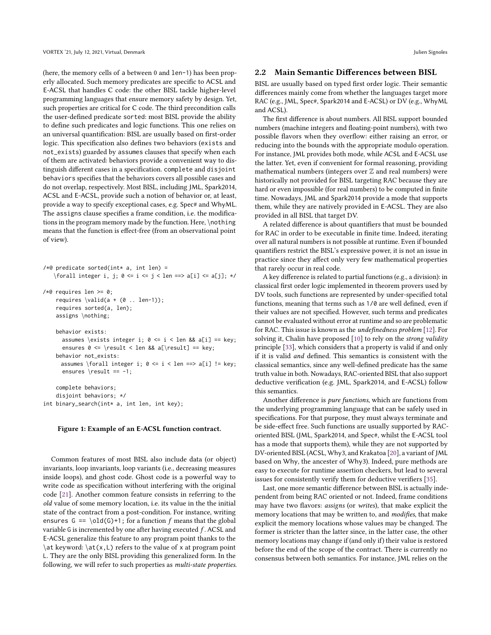(here, the memory cells of a between 0 and len-1) has been properly allocated. Such memory predicates are specific to ACSL and E-ACSL that handles C code: the other BISL tackle higher-level programming languages that ensure memory safety by design. Yet, such properties are critical for C code. The third precondition calls the user-defined predicate sorted: most BISL provide the ability to define such predicates and logic functions. This one relies on an universal quantification: BISL are usually based on first-order logic. This specification also defines two behaviors (exists and not\_exists) guarded by assumes clauses that specify when each of them are activated: behaviors provide a convenient way to distinguish different cases in a specification. complete and disjoint behaviors specifies that the behaviors covers all possible cases and do not overlap, respectively. Most BISL, including JML, Spark2014, ACSL and E-ACSL, provide such a notion of behavior or, at least, provide a way to specify exceptional cases, e.g. Spec# and WhyML. The assigns clause specifies a frame condition, i.e. the modifications in the program memory made by the function. Here, \nothing means that the function is effect-free (from an observational point of view).

<span id="page-1-0"></span>

|  | /*@ predicate sorted(int* a, int len) =                      |  |  |  |  |  |  |
|--|--------------------------------------------------------------|--|--|--|--|--|--|
|  | \forall integer i, j; 0 <= i <= j < len ==> a[i] <= a[j]; */ |  |  |  |  |  |  |

```
/*@ requires len >= 0;
   requires \valid(a + (0 \dots len-1));requires sorted(a, len);
   assigns \nothing;
```

```
behavior exists:
 assumes \exists integer i; 0 \le i \le \text{len } 8\& a[i] == \text{key};ensures 0 \le \text{result} < \text{len } 8& a[\text{result}] == \text{key};behavior not_exists:
assumes \forall integer i; 0 \le i \le len == > a[i] != key;
```
complete behaviors; disjoint behaviors; \*/ int binary\_search(int\* a, int len, int key);

ensures  $\text{result} == -1;$ 

#### Figure 1: Example of an E-ACSL function contract.

Common features of most BISL also include data (or object) invariants, loop invariants, loop variants (i.e., decreasing measures inside loops), and ghost code. Ghost code is a powerful way to write code as specification without interfering with the original code [\[21\]](#page-4-18). Another common feature consists in referring to the old value of some memory location, i.e. its value in the the initial state of the contract from a post-condition. For instance, writing ensures  $G = \old(G)+1$ ; for a function f means that the global variable G is incremented by one after having executed  $f$ . ACSL and E-ACSL generalize this feature to any program point thanks to the \at keyword: \at(x,L) refers to the value of x at program point L. They are the only BISL providing this generalized form. In the following, we will refer to such properties as multi-state properties.

#### 2.2 Main Semantic Differences between BISL

BISL are usually based on typed first order logic. Their semantic differences mainly come from whether the languages target more RAC (e.g., JML, Spec#, Spark2014 and E-ACSL) or DV (e.g., WhyML and ACSL).

The first difference is about numbers. All BISL support bounded numbers (machine integers and floating-point numbers), with two possible flavors when they overflow: either raising an error, or reducing into the bounds with the appropriate modulo operation. For instance, JML provides both mode, while ACSL and E-ACSL use the latter. Yet, even if convenient for formal reasoning, providing mathematical numbers (integers over  $\mathbb Z$  and real numbers) were historically not provided for BISL targeting RAC because they are hard or even impossible (for real numbers) to be computed in finite time. Nowadays, JML and Spark2014 provide a mode that supports them, while they are natively provided in E-ACSL. They are also provided in all BISL that target DV.

A related difference is about quantifiers that must be bounded for RAC in order to be executable in finite time. Indeed, iterating over all natural numbers is not possible at runtime. Even if bounded quantifiers restrict the BISL's expressive power, it is not an issue in practice since they affect only very few mathematical properties that rarely occur in real code.

A key difference is related to partial functions (e.g., a division): in classical first order logic implemented in theorem provers used by DV tools, such functions are represented by under-specified total functions, meaning that terms such as 1/0 are well defined, even if their values are not specified. However, such terms and predicates cannot be evaluated without error at runtime and so are problematic for RAC. This issue is known as the undefinedness problem [\[12\]](#page-3-4). For solving it, Chalin have proposed  $[10]$  to rely on the strong validity principle [\[33\]](#page-4-19), which considers that a property is valid if and only if it is valid and defined. This semantics is consistent with the classical semantics, since any well-defined predicate has the same truth value in both. Nowadays, RAC-oriented BISL that also support deductive verification (e.g. JML, Spark2014, and E-ACSL) follow this semantics.

Another difference is pure functions, which are functions from the underlying programming language that can be safely used in specifications. For that purpose, they must always terminate and be side-effect free. Such functions are usually supported by RACoriented BISL (JML, Spark2014, and Spec#, whilst the E-ACSL tool has a mode that supports them), while they are not supported by DV-oriented BISL (ACSL, Why3, and Krakatoa [\[20\]](#page-4-20), a variant of JML based on Why, the ancester of Why3). Indeed, pure methods are easy to execute for runtime assertion checkers, but lead to several issues for consistently verify them for deductive verifiers [\[35\]](#page-4-21).

Last, one more semantic difference between BISL is actually independent from being RAC oriented or not. Indeed, frame conditions may have two flavors: assigns (or writes), that make explicit the memory locations that may be written to, and modifies, that make explicit the memory locations whose values may be changed. The former is stricter than the latter since, in the latter case, the other memory locations may change if (and only if) their value is restored before the end of the scope of the contract. There is currently no consensus between both semantics. For instance, JML relies on the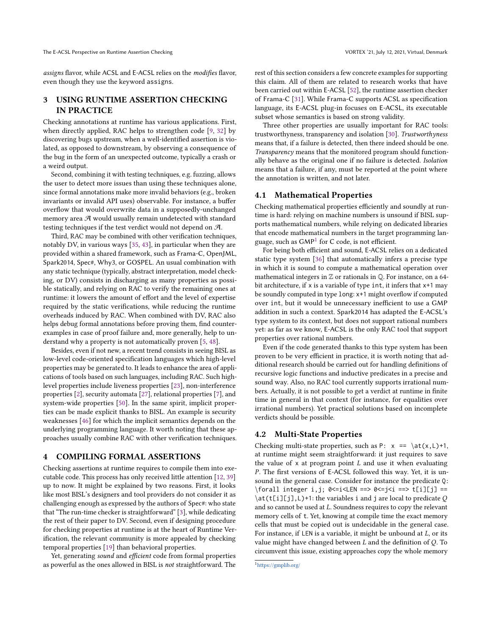assigns flavor, while ACSL and E-ACSL relies on the modifies flavor,

even though they use the keyword assigns.

# 3 USING RUNTIME ASSERTION CHECKING IN PRACTICE

Checking annotations at runtime has various applications. First, when directly applied, RAC helps to strengthen code [\[9,](#page-3-6) [32\]](#page-4-22) by discovering bugs upstream, when a well-identified assertion is violated, as opposed to downstream, by observing a consequence of the bug in the form of an unexpected outcome, typically a crash or a weird output.

Second, combining it with testing techniques, e.g. fuzzing, allows the user to detect more issues than using these techniques alone, since formal annotations make more invalid behaviors (e.g., broken invariants or invalid API uses) observable. For instance, a buffer overflow that would overwrite data in a supposedly-unchanged memory area  $\mathcal A$  would usually remain undetected with standard testing techniques if the test verdict would not depend on A.

Third, RAC may be combined with other verification techniques, notably DV, in various ways [\[35,](#page-4-21) [43\]](#page-4-23), in particular when they are provided within a shared framework, such as Frama-C, OpenJML, Spark2014, Spec#, Why3, or GOSPEL. An usual combination with any static technique (typically, abstract interpretation, model checking, or DV) consists in discharging as many properties as possible statically, and relying on RAC to verify the remaining ones at runtime: it lowers the amount of effort and the level of expertise required by the static verifications, while reducing the runtime overheads induced by RAC. When combined with DV, RAC also helps debug formal annotations before proving them, find counterexamples in case of proof failure and, more generally, help to understand why a property is not automatically proven [\[5,](#page-3-7) [48\]](#page-4-24).

Besides, even if not new, a recent trend consists in seeing BISL as low-level code-oriented specification languages which high-level properties may be generated to. It leads to enhance the area of applications of tools based on such languages, including RAC. Such highlevel properties include liveness properties [\[23\]](#page-4-25), non-interference properties [\[2\]](#page-3-8), security automata [\[27\]](#page-4-26), relational properties [\[7\]](#page-3-9), and system-wide properties [\[50\]](#page-4-27). In the same spirit, implicit properties can be made explicit thanks to BISL. An example is security weaknesses [\[46\]](#page-4-28) for which the implicit semantics depends on the underlying programming language. It worth noting that these approaches usually combine RAC with other verification techniques.

### 4 COMPILING FORMAL ASSERTIONS

Checking assertions at runtime requires to compile them into executable code. This process has only received little attention [\[12,](#page-3-4) [39\]](#page-4-29) up to now. It might be explained by two reasons. First, it looks like most BISL's designers and tool providers do not consider it as challenging enough as expressed by the authors of Spec#: who state that "The run-time checker is straightforward" [\[3\]](#page-3-0), while dedicating the rest of their paper to DV. Second, even if designing procedure for checking properties at runtime is at the heart of Runtime Verification, the relevant community is more appealed by checking temporal properties [\[19\]](#page-4-30) than behavioral properties.

Yet, generating sound and efficient code from formal properties as powerful as the ones allowed in BISL is not straightforward. The rest of this section considers a few concrete examples for supporting this claim. All of them are related to research works that have been carried out within E-ACSL [\[52\]](#page-4-4), the runtime assertion checker of Frama-C [\[31\]](#page-4-17). While Frama-C supports ACSL as specification language, its E-ACSL plug-in focuses on E-ACSL, its executable subset whose semantics is based on strong validity.

Three other properties are usually important for RAC tools: trustworthyness, transparency and isolation [\[30\]](#page-4-31). Trustworthyness means that, if a failure is detected, then there indeed should be one. Transparency means that the monitored program should functionally behave as the original one if no failure is detected. Isolation means that a failure, if any, must be reported at the point where the annotation is written, and not later.

# 4.1 Mathematical Properties

Checking mathematical properties efficiently and soundly at runtime is hard: relying on machine numbers is unsound if BISL supports mathematical numbers, while relying on dedicated libraries that encode mathematical numbers in the target programming lan-guage, such as GMP<sup>[1](#page-2-0)</sup> for C code, is not efficient.

For being both efficient and sound, E-ACSL relies on a dedicated static type system [\[36\]](#page-4-32) that automatically infers a precise type in which it is sound to compute a mathematical operation over mathematical integers in  $\mathbb Z$  or rationals in  $\mathbb Q$ . For instance, on a 64bit architecture, if x is a variable of type int, it infers that x+1 may be soundly computed in type long: x+1 might overflow if computed over int, but it would be unnecessary inefficient to use a GMP addition in such a context. Spark2014 has adapted the E-ACSL's type system to its context, but does not support rational numbers yet: as far as we know, E-ACSL is the only RAC tool that support properties over rational numbers.

Even if the code generated thanks to this type system has been proven to be very efficient in practice, it is worth noting that additional research should be carried out for handling definitions of recursive logic functions and inductive predicates in a precise and sound way. Also, no RAC tool currently supports irrational numbers. Actually, it is not possible to get a verdict at runtime in finite time in general in that context (for instance, for equalities over irrational numbers). Yet practical solutions based on incomplete verdicts should be possible.

# 4.2 Multi-State Properties

Checking multi-state properties, such as P:  $x == \at{(x,L)+1}$ , at runtime might seem straightforward: it just requires to save the value of  $x$  at program point  $L$  and use it when evaluating P. The first versions of E-ACSL followed this way. Yet, it is unsound in the general case. Consider for instance the predicate Q: \forall integer i,j; 0<=i<LEN ==> 0<=j<i ==> t[i][j] ==  $\atop \atop \text{at(t[i][j],L)+1:}$  the variables i and j are local to predicate Q and so cannot be used at L. Soundness requires to copy the relevant memory cells of t. Yet, knowing at compile time the exact memory cells that must be copied out is undecidable in the general case. For instance, if LEN is a variable, it might be unbound at L, or its value might have changed between  $L$  and the definition of  $Q$ . To circumvent this issue, existing approaches copy the whole memory

<span id="page-2-0"></span><sup>1</sup><https://gmplib.org/>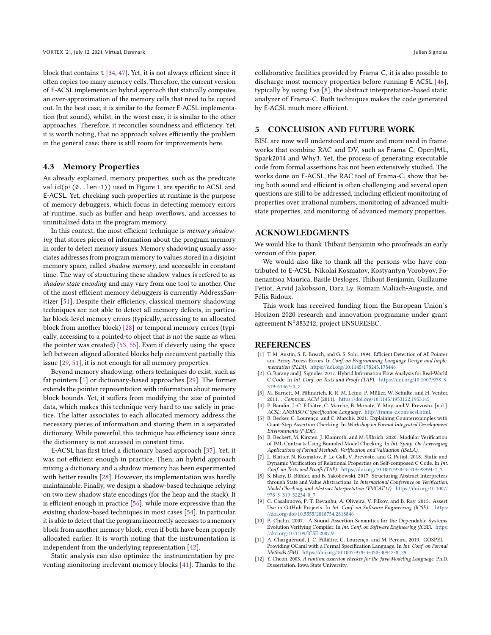block that contains t [\[34,](#page-4-33) [47\]](#page-4-34). Yet, it is not always efficient since it often copies too many memory cells. Therefore, the current version of E-ACSL implements an hybrid approach that statically computes an over-approximation of the memory cells that need to be copied out. In the best case, it is similar to the former E-ACSL implementation (but sound), whilst, in the worst case, it is similar to the other approaches. Therefore, it reconciles soundness and efficiency. Yet, it is worth noting, that no approach solves efficiently the problem in the general case: there is still room for improvements here.

# 4.3 Memory Properties

As already explained, memory properties, such as the predicate valid(p+(0..len-1)) used in Figure [1,](#page-1-0) are specific to ACSL and E-ACSL. Yet, checking such properties at runtime is the purpose of memory debuggers, which focus in detecting memory errors at runtime, such as buffer and heap overflows, and accesses to uninitialized data in the program memory.

In this context, the most efficient technique is memory shadowing that stores pieces of information about the program memory in order to detect memory issues. Memory shadowing usually associates addresses from program memory to values stored in a disjoint memory space, called shadow memory, and accessible in constant time. The way of structuring these shadow values is refered to as shadow state encoding and may vary from one tool to another. One of the most efficient memory debuggers is currently AddressSanitizer [\[51\]](#page-4-35). Despite their efficiency, classical memory shadowing techniques are not able to detect all memory defects, in particular block-level memory errors (typically, accessing to an allocated block from another block) [\[28\]](#page-4-36) or temporal memory errors (typically, accessing to a pointed-to object that is not the same as when the pointer was created) [\[53,](#page-4-37) [55\]](#page-4-38). Even if cleverly using the space left between aligned allocated blocks help circumvent partially this issue [\[29,](#page-4-39) [51\]](#page-4-35), it is not enough for all memory properties.

Beyond memory shadowing, others techniques do exist, such as fat pointers [\[1\]](#page-3-10) or dictionary-based approaches [\[29\]](#page-4-39). The former extends the pointer representation with information about memory block bounds. Yet, it suffers from modifying the size of pointed data, which makes this technique very hard to use safely in practice. The latter associates to each allocated memory address the necessary pieces of information and storing them in a separated dictionary. While powerful, this technique has efficiency issue since the dictionnary is not accessed in constant time.

E-ACSL has first tried a dictionary based approach [\[37\]](#page-4-40). Yet, it was not efficient enough in practice. Then, an hybrid approach mixing a dictionary and a shadow memory has been experimented with better results [\[28\]](#page-4-36). However, its implementation was hardly maintainable. Finally, we design a shadow-based technique relying on two new shadow state encodings (for the heap and the stack). It is efficient enough in practice [\[56\]](#page-4-41), while more expressive than the existing shadow-based techniques in most cases [\[54\]](#page-4-42). In particular, it is able to detect that the program incorrectly accesses to a memory block from another memory block, even if both have been properly allocated earlier. It is worth noting that the instrumentation is independent from the underlying representation [\[42\]](#page-4-43).

Static analysis can also optimize the instrumentation by preventing monitoring irrelevant memory blocks [\[41\]](#page-4-44). Thanks to the

collaborative facilities provided by Frama-C, it is also possible to discharge most memory properties before running E-ACSL [\[46\]](#page-4-28), typically by using Eva [\[8\]](#page-3-11), the abstract interpretation-based static analyzer of Frama-C. Both techniques makes the code generated by E-ACSL much more efficient.

# 5 CONCLUSION AND FUTURE WORK

BISL are now well understood and more and more used in frameworks that combine RAC and DV, such as Frama-C, OpenJML, Spark2014 and Why3. Yet, the process of generating executable code from formal assertions has not been extensively studied. The works done on E-ACSL, the RAC tool of Frama-C, show that being both sound and efficient is often challenging and several open questions are still to be addressed, including efficient monitoring of properties over irrational numbers, monitoring of advanced multistate properties, and monitoring of advanced memory properties.

# ACKNOWLEDGMENTS

We would like to thank Thibaut Benjamin who proofreads an early version of this paper.

We would also like to thank all the persons who have contributed to E-ACSL: Nikolai Kosmatov, Kostyantyn Vorobyov, Fonenantsoa Maurica, Basile Desloges, Thibaut Benjamin, Guillaume Petiot, Arvid Jakobsson, Dara Ly, Romain Maliach-Auguste, and Félix Ridoux.

This work has received funding from the European Union's Horizon 2020 research and innovation programme under grant agreement N◦ 883242, project ENSURESEC.

#### REFERENCES

- <span id="page-3-10"></span>[1] T. M. Austin, S. E. Breach, and G. S. Sohi. 1994. Efficient Detection of All Pointer and Array Access Errors. In Conf. on Programming Language Design and Implementation (PLDI). <https://doi.org/10.1145/178243.178446>
- <span id="page-3-8"></span>[2] G. Barany and J. Signoles. 2017. Hybrid Information Flow Analysis for Real-World C Code. In Int. Conf. on Tests and Proofs (TAP). [https://doi.org/10.1007/978-3-](https://doi.org/10.1007/978-3-319-61467-0_2) [319-61467-0\\_2](https://doi.org/10.1007/978-3-319-61467-0_2)
- <span id="page-3-0"></span>[3] M. Barnett, M. Fähndrich, K. R. M. Leino, P. Müller, W. Schulte, and H. Venter. 2011. . Commun. ACM (2011). <https://doi.org/10.1145/1953122.1953145>
- <span id="page-3-1"></span>[4] P. Baudin, J.-C. Filliâtre, C. Marché, B. Monate, Y. Moy, and V. Prevosto. [n.d.]. ACSL: ANSI/ISO C Specification Language. [http://frama-c.com/acsl.html.](http://frama-c.com/acsl.html)
- <span id="page-3-7"></span>[5] B. Becker, C. Lourenço, and C. Marché. 2021. Explaining Counterexamples with Giant-Step Assertion Checking. In Workshop on Formal Integrated Development Environments (F-IDE).
- <span id="page-3-3"></span>[6] B. Beckert, M. Kirsten, J. Klamroth, and M. Ulbrich. 2020. Modular Verification of JML Contracts Using Bounded Model Checking. In Int. Symp. On Leveraging Applications of Formal Methods, Verification and Validation (ISoLA).
- <span id="page-3-9"></span>[7] L. Blatter, N. Kosmatov, P. Le Gall, V. Prevosto, and G. Petiot. 2018. Static and Dynamic Verification of Relational Properties on Self-composed C Code. In Int. Conf. on Tests and Proofs (TAP). [https://doi.org/10.1007/978-3-319-92994-1\\_3](https://doi.org/10.1007/978-3-319-92994-1_3)
- <span id="page-3-11"></span>[8] S. Blazy, D. Bühler, and B. Yakobowski. 2017. Structuring Abstract Interpreters through State and Value Abstractions. In International Conference on Verification, Model Checking, and Abstract Interpretation (VMCAI'17). [https://doi.org/10.1007/](https://doi.org/10.1007/978-3-319-52234-0_7) [978-3-319-52234-0\\_7](https://doi.org/10.1007/978-3-319-52234-0_7)
- <span id="page-3-6"></span>[9] C. Casalnuovo, P. T. Devanbu, A. Oliveira, V. Filkov, and B. Ray. 2015. Assert Use in GitHub Projects. In Int. Conf. on Software Engineering (ICSE). [https:](https://doi.org/doi/10.5555/2818754.2818846) [//doi.org/doi/10.5555/2818754.2818846](https://doi.org/doi/10.5555/2818754.2818846)
- <span id="page-3-5"></span>[10] P. Chalin. 2007. A Sound Assertion Semantics for the Dependable Systems Evolution Verifying Compiler. In Int. Conf. on Software Engineering (ICSE). [https:](https://doi.org/10.1109/ICSE.2007.9) [//doi.org/10.1109/ICSE.2007.9](https://doi.org/10.1109/ICSE.2007.9)
- <span id="page-3-2"></span>[11] A. Charguéraud, J.-C. Filliâtre, C. Lourenço, and M. Pereira. 2019. GOSPEL – Providing OCaml with a Formal Specification Language. In Int. Conf. on Formal Methods (FM). [https://doi.org/10.1007/978-3-030-30942-8\\_29](https://doi.org/10.1007/978-3-030-30942-8_29)
- <span id="page-3-4"></span>[12] Y. Cheon. 2003. A runtime assertion checker for the Java Modeling Language. Ph.D. Dissertation. Iowa State University.